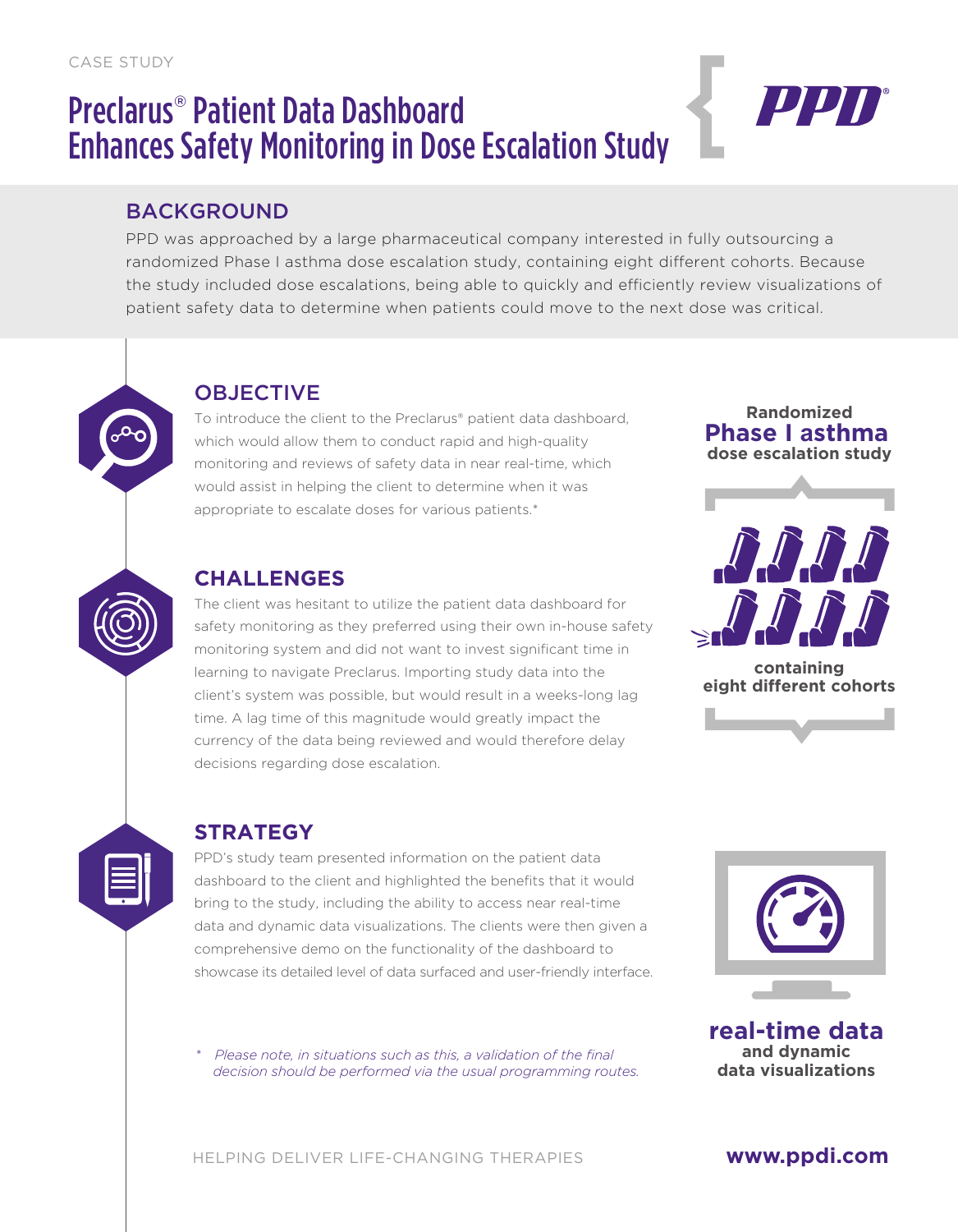# Preclarus® Patient Data Dashboard Enhances Safety Monitoring in Dose Escalation Study



## BACKGROUND

PPD was approached by a large pharmaceutical company interested in fully outsourcing a randomized Phase I asthma dose escalation study, containing eight different cohorts. Because the study included dose escalations, being able to quickly and efficiently review visualizations of patient safety data to determine when patients could move to the next dose was critical.

# **OBJECTIVE**

To introduce the client to the Preclarus® patient data dashboard, which would allow them to conduct rapid and high-quality monitoring and reviews of safety data in near real-time, which would assist in helping the client to determine when it was appropriate to escalate doses for various patients.\*

### **CHALLENGES**

The client was hesitant to utilize the patient data dashboard for safety monitoring as they preferred using their own in-house safety monitoring system and did not want to invest significant time in learning to navigate Preclarus. Importing study data into the client's system was possible, but would result in a weeks-long lag time. A lag time of this magnitude would greatly impact the currency of the data being reviewed and would therefore delay decisions regarding dose escalation.





**containing eight different cohorts** 





#### **STRATEGY**

PPD's study team presented information on the patient data dashboard to the client and highlighted the benefits that it would bring to the study, including the ability to access near real-time data and dynamic data visualizations. The clients were then given a comprehensive demo on the functionality of the dashboard to showcase its detailed level of data surfaced and user-friendly interface.

*\* Please note, in situations such as this, a validation of the final decision should be performed via the usual programming routes.* 



**real-time data and dynamic data visualizations**

#### **www.ppdi.com**